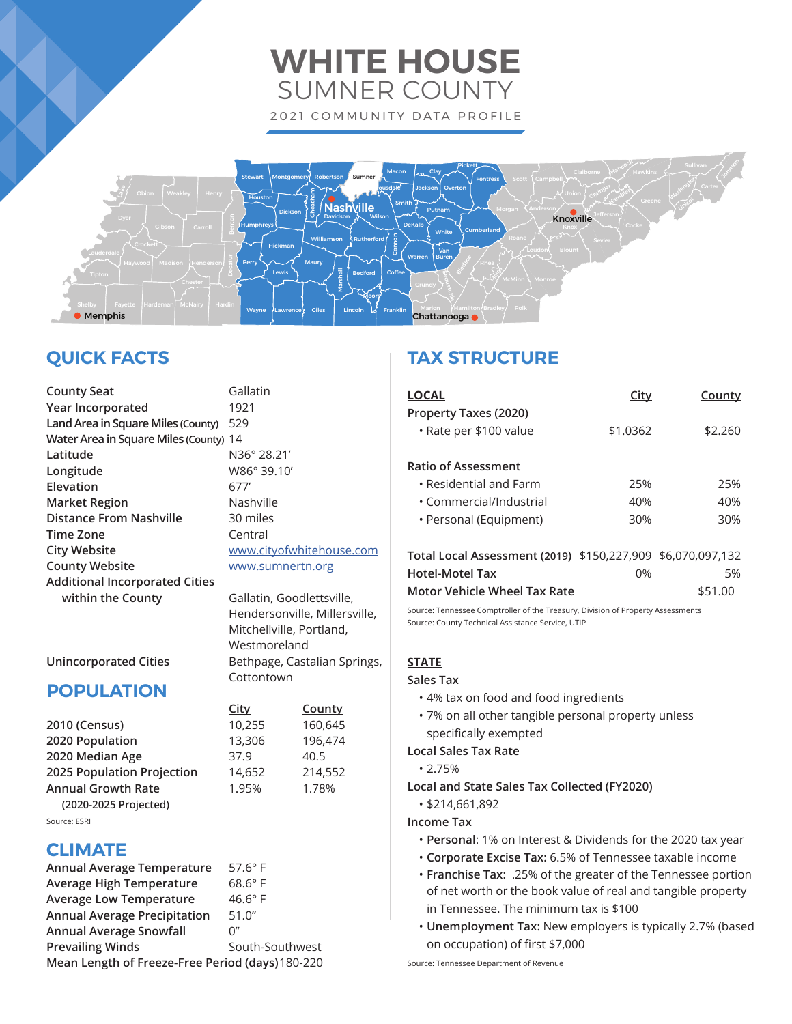# **WHITE HOUSE** SUMNER COUNTY 2021 COMMUNITY DATA PROFILE



# **QUICK FACTS**

| <b>County Seat</b>                     | Gallatin        |
|----------------------------------------|-----------------|
| Year Incorporated                      | 1921            |
| Land Area in Square Miles (County)     | 529             |
| Water Area in Square Miles (County) 14 |                 |
| Latitude                               | N36° 28         |
| Longitude                              | W86°39          |
| Elevation                              | 677'            |
| <b>Market Region</b>                   | Nashvill        |
| <b>Distance From Nashville</b>         | 30 miles        |
| <b>Time Zone</b>                       | Central         |
| <b>City Website</b>                    | www.cit         |
| <b>County Website</b>                  | www.su          |
| <b>Additional Incorporated Cities</b>  |                 |
| within the County                      | <b>Gallatin</b> |
|                                        |                 |

**Latitude** N36° 28.21' **Longitude** W86° 39.10' lashville 0 miles **Tentral** ww.city of whitehouse.com **County Website** www.sumnertn.org

**within the County** Gallatin**,** Goodlettsville, Hendersonville, Millersville, Mitchellville, Portland, Westmoreland **Unincorporated Cities** Bethpage, Castalian Springs, **Cottontown** 

> **City County 2010 (Census)** 10,255 160,645 **2020 Population** 13,306 196,474

**2025 Population Projection** 14,652 214,552

## **POPULATION**

| 2010 (Census)              | 10,255 | 160,64 |
|----------------------------|--------|--------|
| 2020 Population            | 13,306 | 196,47 |
| 2020 Median Age            | 37.9   | 40.5   |
| 2025 Population Projection | 14,652 | 214,5  |
| <b>Annual Growth Rate</b>  | 1.95%  | 1.78%  |
| (2020-2025 Projected)      |        |        |
| Source: ESRI               |        |        |

## **CLIMATE**

| <b>Annual Average Temperature</b>                | $57.6^\circ$ F  |  |
|--------------------------------------------------|-----------------|--|
| <b>Average High Temperature</b>                  | $68.6^\circ$ F  |  |
| <b>Average Low Temperature</b>                   | $46.6^\circ$ F  |  |
| <b>Annual Average Precipitation</b>              | 51.0''          |  |
| <b>Annual Average Snowfall</b>                   | 0"              |  |
| <b>Prevailing Winds</b>                          | South-Southwest |  |
| Mean Length of Freeze-Free Period (days) 180-220 |                 |  |

## **TAX STRUCTURE**

| LOCAL                                                                                                                                                                                                                                                                                                                           | City     | County  |
|---------------------------------------------------------------------------------------------------------------------------------------------------------------------------------------------------------------------------------------------------------------------------------------------------------------------------------|----------|---------|
| Property Taxes (2020)<br>· Rate per \$100 value                                                                                                                                                                                                                                                                                 | \$1.0362 | \$2.260 |
| <b>Ratio of Assessment</b>                                                                                                                                                                                                                                                                                                      |          |         |
| • Residential and Farm                                                                                                                                                                                                                                                                                                          | 25%      | 25%     |
| • Commercial/Industrial                                                                                                                                                                                                                                                                                                         | 40%      | 40%     |
| • Personal (Equipment)                                                                                                                                                                                                                                                                                                          | 30%      | 30%     |
|                                                                                                                                                                                                                                                                                                                                 |          |         |
| $T_{\rm eff}$ , $T_{\rm eff}$ , $T_{\rm eff}$ , $T_{\rm eff}$ , $T_{\rm eff}$ , $T_{\rm eff}$ , $T_{\rm eff}$ , $T_{\rm eff}$ , $T_{\rm eff}$ , $T_{\rm eff}$ , $T_{\rm eff}$ , $T_{\rm eff}$ , $T_{\rm eff}$ , $T_{\rm eff}$ , $T_{\rm eff}$ , $T_{\rm eff}$ , $T_{\rm eff}$ , $T_{\rm eff}$ , $T_{\rm eff}$ , $T_{\rm eff}$ , |          |         |

| Total Local Assessment (2019) \$150,227,909 \$6,070,097,132 |    |                |
|-------------------------------------------------------------|----|----------------|
| Hotel-Motel Tax                                             | በ% | 5 <sub>%</sub> |
| Motor Vehicle Wheel Tax Rate                                |    | \$51.00        |

Source: Tennessee Comptroller of the Treasury, Division of Property Assessments Source: County Technical Assistance Service, UTIP

## **STATE**

#### **Sales Tax**

- 4% tax on food and food ingredients
- 7% on all other tangible personal property unless specifically exempted

#### **Local Sales Tax Rate**

• 2.75%

**Local and State Sales Tax Collected (FY2020)**

• \$214,661,892

## **Income Tax**

- **Personal**: 1% on Interest & Dividends for the 2020 tax year
- **Corporate Excise Tax:** 6.5% of Tennessee taxable income
- **Franchise Tax:** .25% of the greater of the Tennessee portion of net worth or the book value of real and tangible property in Tennessee. The minimum tax is \$100
- **Unemployment Tax:** New employers is typically 2.7% (based on occupation) of first \$7,000

Source: Tennessee Department of Revenue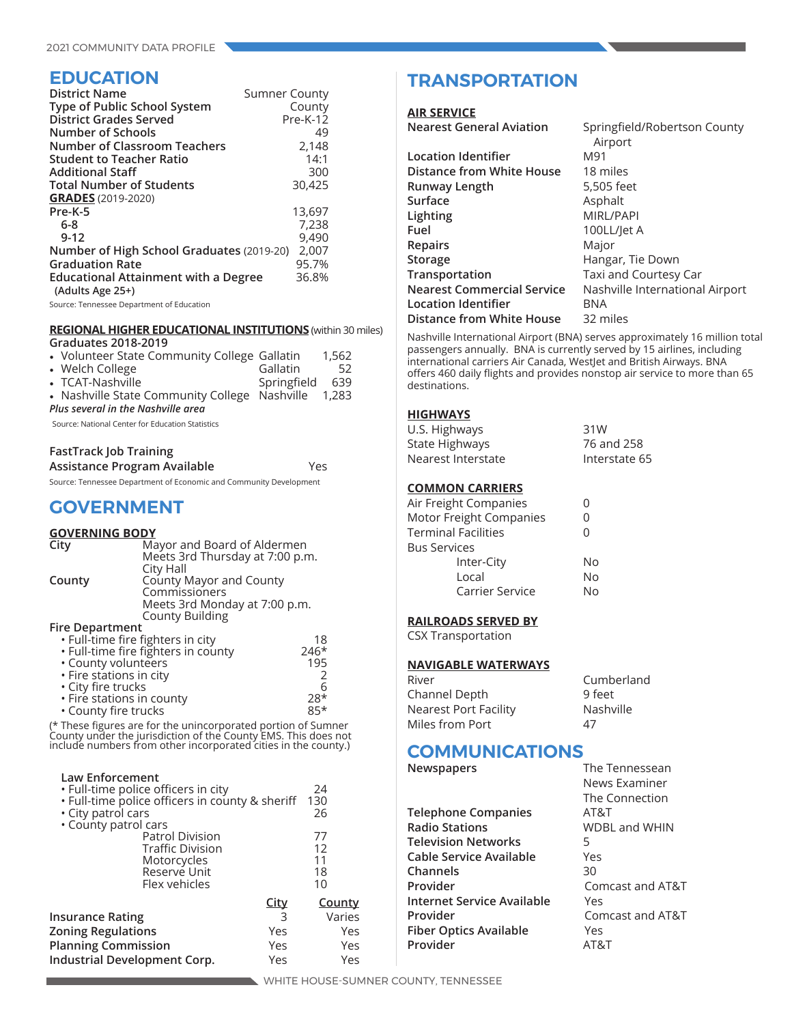## **EDUCATION**

| <b>District Name</b>                        | <b>Sumner County</b> |
|---------------------------------------------|----------------------|
| Type of Public School System                | County               |
| District Grades Served                      | $Pre-K-12$           |
| <b>Number of Schools</b>                    | 49                   |
| <b>Number of Classroom Teachers</b>         | 2,148                |
| <b>Student to Teacher Ratio</b>             | 14:1                 |
| <b>Additional Staff</b>                     | 300                  |
| <b>Total Number of Students</b>             | 30,425               |
| <b>GRADES</b> (2019-2020)                   |                      |
| Pre-K-5                                     | 13,697               |
| $6 - 8$                                     | 7,238                |
| $9 - 12$                                    | 9,490                |
| Number of High School Graduates (2019-20)   | 2,007                |
| <b>Graduation Rate</b>                      | 95.7%                |
| <b>Educational Attainment with a Degree</b> | 36.8%                |
| (Adults Age 25+)                            |                      |

Source: Tennessee Department of Education

## **REGIONAL HIGHER EDUCATIONAL INSTITUTIONS** (within 30 miles)

| Graduates 2018-2019                                                                 |             |       |
|-------------------------------------------------------------------------------------|-------------|-------|
| • Volunteer State Community College Gallatin                                        |             | 1.562 |
| • Welch College                                                                     | Gallatin    | 52    |
| • TCAT-Nashville                                                                    | Springfield | 639   |
| • Nashville State Community College Nashville<br>Plus several in the Nashville area |             | 1,283 |
|                                                                                     |             |       |

Source: National Center for Education Statistics

## **FastTrack Job Training**

**Assistance Program Available** Yes

Source: Tennessee Department of Economic and Community Development

## **GOVERNMENT**

### **GOVERNING BODY**

| City                                          | Mayor and Board of Aldermen     |    |
|-----------------------------------------------|---------------------------------|----|
|                                               | Meets 3rd Thursday at 7:00 p.m. |    |
|                                               | City Hall                       |    |
| County                                        | County Mayor and County         |    |
|                                               | Commissioners                   |    |
|                                               | Meets 3rd Monday at 7:00 p.m.   |    |
|                                               | <b>County Building</b>          |    |
| <b>Fire Department</b>                        |                                 |    |
| · Full-time fire fighters in city             |                                 | 18 |
| · Full-time fire fighters in county<br>$246*$ |                                 |    |
| • County volunteers<br>195                    |                                 |    |
| • Fire stations in city                       |                                 |    |
| · City fire trucks                            |                                 |    |

 • Fire stations in county 28\* • County fire trucks

(\* These figures are for the unincorporated portion of Sumner County under the jurisdiction of the County EMS. This does not include numbers from other incorporated cities in the county.)

| <b>Law Enforcement</b><br>· Full-time police officers in city<br>. Full-time police officers in county & sheriff<br>• City patrol cars<br>• County patrol cars |             | 24<br>130<br>26 |
|----------------------------------------------------------------------------------------------------------------------------------------------------------------|-------------|-----------------|
| <b>Patrol Division</b>                                                                                                                                         |             | 77              |
| <b>Traffic Division</b>                                                                                                                                        |             | 12              |
| Motorcycles                                                                                                                                                    |             | 11              |
| Reserve Unit                                                                                                                                                   |             | 18              |
| Flex vehicles                                                                                                                                                  |             | 10              |
|                                                                                                                                                                | <u>City</u> | <b>County</b>   |
| <b>Insurance Rating</b>                                                                                                                                        | 3           | Varies          |
| <b>Zoning Regulations</b>                                                                                                                                      | Yes         | Yes             |
| <b>Planning Commission</b>                                                                                                                                     | Yes         | Yes             |
| Industrial Development Corp.                                                                                                                                   | Yes         | Yes             |
|                                                                                                                                                                |             |                 |

## **TRANSPORTATION**

#### **AIR SERVICE**

| Nearest General Aviation |  |
|--------------------------|--|
|--------------------------|--|

| <b>Location Identifier</b>        | M91                             |
|-----------------------------------|---------------------------------|
| Distance from White House         | 18 miles                        |
| Runway Length                     | 5,505 feet                      |
| Surface                           | Asphalt                         |
| Lighting                          | MIRL/PAPI                       |
| Fuel                              | 100LL/let A                     |
| <b>Repairs</b>                    | Major                           |
| Storage                           | Hangar, Tie Down                |
| Transportation                    | Taxi and Courtesy Car           |
| <b>Nearest Commercial Service</b> | Nashville International Airport |
| <b>Location Identifier</b>        | BNA                             |
| Distance from White House         | 32 miles                        |
|                                   |                                 |

Nashville International Airport (BNA) serves approximately 16 million total passengers annually. BNA is currently served by 15 airlines, including international carriers Air Canada, WestJet and British Airways. BNA offers 460 daily flights and provides nonstop air service to more than 65 destinations.

Springfield/Robertson County

Airport

## **HIGHWAYS**

| U.S. Highways      | 31W           |
|--------------------|---------------|
| State Highways     | 76 and 258    |
| Nearest Interstate | Interstate 65 |
|                    |               |

### **COMMON CARRIERS**

| Air Freight Companies   | $\left( \right)$ |
|-------------------------|------------------|
| Motor Freight Companies | 0                |
| Terminal Facilities     | O                |
| <b>Bus Services</b>     |                  |
| Inter-City              | N٥               |
| Local                   | No               |
| Carrier Service         | N٥               |
|                         |                  |

#### **RAILROADS SERVED BY**

CSX Transportation

#### **NAVIGABLE WATERWAYS**

| River                 | Cumberland       |
|-----------------------|------------------|
| Channel Depth         | 9 feet           |
| Nearest Port Facility | <b>Nashville</b> |
| Miles from Port       | 47               |

# **COMMUNICATIONS**<br> **Newspapers**

**Telephone Companies** AT&T **Radio Stations** WDBL and WHIN **Television Networks** 5 **Cable Service Available** Yes **Channels** 30 **Provider** Comcast and AT&T **Internet Service Available** Yes **Provider** Comcast and AT&T **Fiber Optics Available** Yes Provider **AT&T** 

**The Tennessean** News Examiner The Connection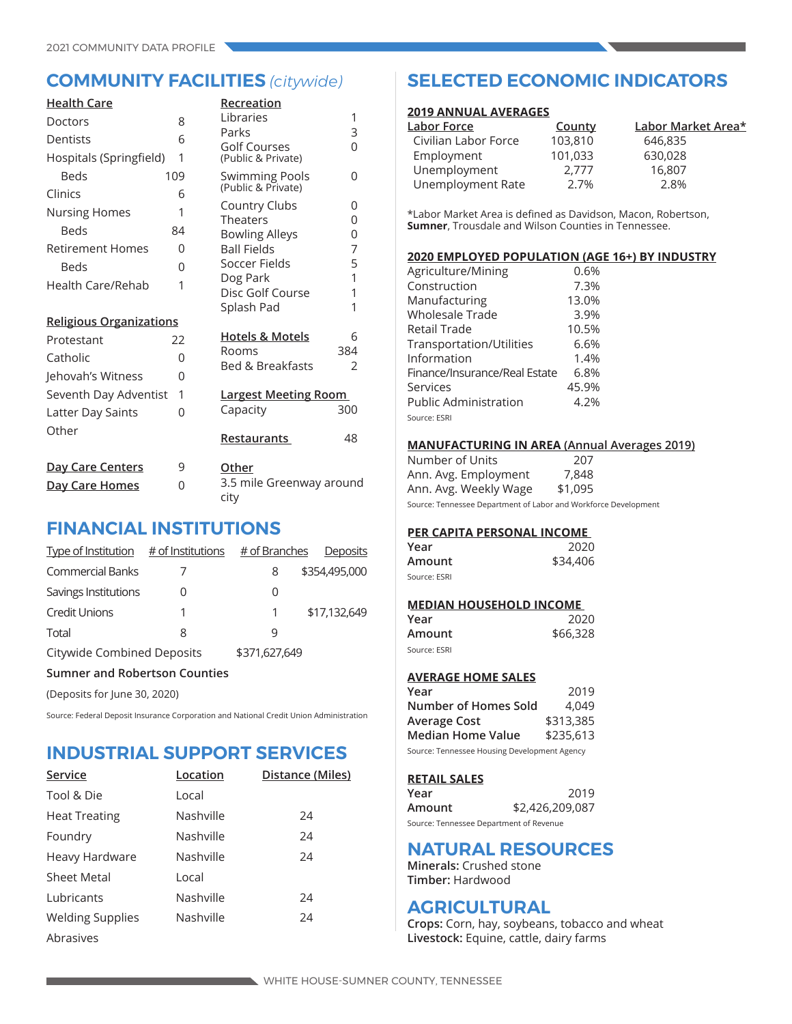| <b>Health Care</b>             |     | Recreation                                  |               |
|--------------------------------|-----|---------------------------------------------|---------------|
| Doctors                        | 8   | Libraries                                   | 1             |
| Dentists                       | 6   | Parks<br>Golf Courses                       | 3<br>$\Omega$ |
| Hospitals (Springfield)        | 1   | (Public & Private)                          |               |
| <b>Beds</b>                    | 109 | <b>Swimming Pools</b><br>(Public & Private) | 0             |
| Clinics                        | 6   |                                             |               |
| <b>Nursing Homes</b>           | 1   | Country Clubs<br><b>Theaters</b>            | 0<br>0        |
| <b>Beds</b>                    | 84  | <b>Bowling Alleys</b>                       | 0             |
| <b>Retirement Homes</b>        | 0   | <b>Ball Fields</b>                          | 7             |
| Beds                           | 0   | Soccer Fields                               | 5             |
| <b>Health Care/Rehab</b>       | 1   | Dog Park                                    | 1<br>1        |
|                                |     | Disc Golf Course<br>Splash Pad              | 1             |
| <b>Religious Organizations</b> |     |                                             |               |
| Protestant                     | 22  | <b>Hotels &amp; Motels</b>                  | 6             |
| Catholic                       | 0   | Rooms                                       | 384           |
| Jehovah's Witness              | 0   | <b>Bed &amp; Breakfasts</b>                 | $\mathcal{P}$ |
| Seventh Day Adventist          | 1   | <b>Largest Meeting Room</b>                 |               |
| Latter Day Saints              | 0   | Capacity                                    | 300           |
| Other                          |     |                                             |               |
|                                |     | Restaurants                                 | 48            |
| <u>Day Care Centers</u>        | 9   | Other                                       |               |
| Day Care Homes                 | 0   | 3.5 mile Greenway around<br>city            |               |

## **FINANCIAL INSTITUTIONS**

| Type of Institution $#$ of Institutions |   | # of Branches | Deposits      |  |
|-----------------------------------------|---|---------------|---------------|--|
| <b>Commercial Banks</b>                 |   | 8             | \$354,495,000 |  |
| Savings Institutions                    |   | 0             |               |  |
| <b>Credit Unions</b>                    | 1 |               | \$17,132,649  |  |
| Total                                   | 8 | q             |               |  |
| Citywide Combined Deposits              |   | \$371,627,649 |               |  |
| <b>Sumner and Robertson Counties</b>    |   |               |               |  |

(Deposits for June 30, 2020)

Source: Federal Deposit Insurance Corporation and National Credit Union Administration

## **INDUSTRIAL SUPPORT SERVICES**

| Service                 | Location  | Distance (Miles) |
|-------------------------|-----------|------------------|
| Tool & Die              | Local     |                  |
| <b>Heat Treating</b>    | Nashville | 24               |
| Foundry                 | Nashville | 24               |
| Heavy Hardware          | Nashville | 24               |
| Sheet Metal             | Local     |                  |
| Lubricants              | Nashville | 24               |
| <b>Welding Supplies</b> | Nashville | 24               |
| Abrasives               |           |                  |

## **COMMUNITY FACILITIES** *(citywide)* **SELECTED ECONOMIC INDICATORS**

#### **2019 ANNUAL AVERAGES**

| County  | Labor Market Area* |
|---------|--------------------|
| 103,810 | 646,835            |
| 101,033 | 630,028            |
| 2.777   | 16,807             |
| 2.7%    | 2.8%               |
|         |                    |

\*Labor Market Area is defined as Davidson, Macon, Robertson, **Sumner**, Trousdale and Wilson Counties in Tennessee.

### **2020 EMPLOYED POPULATION (AGE 16+) BY INDUSTRY**

| Agriculture/Mining            | 0.6%  |
|-------------------------------|-------|
| Construction                  | 7.3%  |
| Manufacturing                 | 13.0% |
| <b>Wholesale Trade</b>        | 3.9%  |
| Retail Trade                  | 10.5% |
| Transportation/Utilities      | 6.6%  |
| Information                   | 1.4%  |
| Finance/Insurance/Real Estate | 6.8%  |
| Services                      | 45.9% |
| <b>Public Administration</b>  | 4.2%  |
| Source: ESRI                  |       |

#### **MANUFACTURING IN AREA (Annual Averages 2019)**

Number of Units 207 Ann. Avg. Employment 7,848 Ann. Avg. Weekly Wage \$1,095

Source: Tennessee Department of Labor and Workforce Development

## **PER CAPITA PERSONAL INCOME**

| Year         | 2020     |
|--------------|----------|
| Amount       | \$34,406 |
| Source: ESRI |          |

## **MEDIAN HOUSEHOLD INCOME**

| Year         | 2020     |
|--------------|----------|
| Amount       | \$66,328 |
| Source: ESRI |          |

### **AVERAGE HOME SALES**

| Year                                         | 2019      |  |
|----------------------------------------------|-----------|--|
| Number of Homes Sold                         | 4.049     |  |
| Average Cost                                 | \$313,385 |  |
| <b>Median Home Value</b>                     | \$235,613 |  |
| Source: Tennessee Housing Development Agency |           |  |

#### **RETAIL SALES**

| Year                                    | 2019            |
|-----------------------------------------|-----------------|
| Amount                                  | \$2,426,209,087 |
| Source: Tennessee Department of Revenue |                 |

## **NATURAL RESOURCES**

**Minerals:** Crushed stone **Timber:** Hardwood

## **AGRICULTURAL**

**Crops:** Corn, hay, soybeans, tobacco and wheat **Livestock:** Equine, cattle, dairy farms